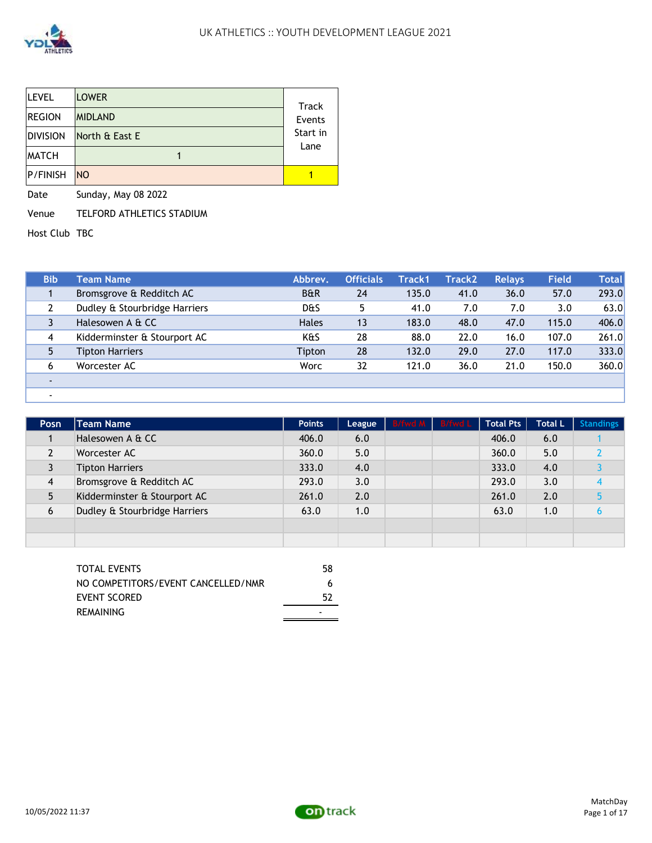

| <b>LEVEL</b>    | <b>LOWER</b>   | <b>Track</b> |
|-----------------|----------------|--------------|
| <b>REGION</b>   | <b>MIDLAND</b> | Events       |
| <b>DIVISION</b> | North & East E | Start in     |
| <b>MATCH</b>    |                | Lane         |
| <b>P/FINISH</b> | N <sub>O</sub> |              |

Date Sunday, May 08 2022

Venue TELFORD ATHLETICS STADIUM

Host Club TBC

| <b>Bib</b> | Team Name                     | Abbrev.        | <b>Officials</b> | Track1 | Track2 | <b>Relavs</b> | <b>Field</b> | Total |
|------------|-------------------------------|----------------|------------------|--------|--------|---------------|--------------|-------|
|            | Bromsgrove & Redditch AC      | <b>B&amp;R</b> | 24               | 135.0  | 41.0   | 36.0          | 57.0         | 293.0 |
|            | Dudley & Stourbridge Harriers | d&s            |                  | 41.0   | 7.0    | 7.0           | 3.0          | 63.0  |
|            | Halesowen A & CC              | <b>Hales</b>   | 13               | 183.0  | 48.0   | 47.0          | 115.0        | 406.0 |
| 4          | Kidderminster & Stourport AC  | K&S            | 28               | 88.0   | 22.0   | 16.0          | 107.0        | 261.0 |
|            | <b>Tipton Harriers</b>        | Tipton         | 28               | 132.0  | 29.0   | 27.0          | 117.0        | 333.0 |
| 6          | Worcester AC                  | Worc           | 32               | 121.0  | 36.0   | 21.0          | 150.0        | 360.0 |
|            |                               |                |                  |        |        |               |              |       |
|            |                               |                |                  |        |        |               |              |       |

| Posn           | <b>Team Name</b>              | <b>Points</b> | League | B/fwd M B/fwd L | <b>Total Pts</b> | <b>Total L</b> | <b>Standings</b> |
|----------------|-------------------------------|---------------|--------|-----------------|------------------|----------------|------------------|
|                | Halesowen A & CC              | 406.0         | 6.0    |                 | 406.0            | 6.0            |                  |
|                | Worcester AC                  | 360.0         | 5.0    |                 | 360.0            | 5.0            |                  |
|                | <b>Tipton Harriers</b>        | 333.0         | 4.0    |                 | 333.0            | 4.0            |                  |
| $\overline{4}$ | Bromsgrove & Redditch AC      | 293.0         | 3.0    |                 | 293.0            | 3.0            |                  |
| 5              | Kidderminster & Stourport AC  | 261.0         | 2.0    |                 | 261.0            | 2.0            |                  |
| 6              | Dudley & Stourbridge Harriers | 63.0          | 1.0    |                 | 63.0             | 1.0            |                  |
|                |                               |               |        |                 |                  |                |                  |
|                |                               |               |        |                 |                  |                |                  |

| NO COMPETITORS/EVENT CANCELLED/NMR<br>6 |  |
|-----------------------------------------|--|
| EVENT SCORED<br>52                      |  |
| REMAINING                               |  |

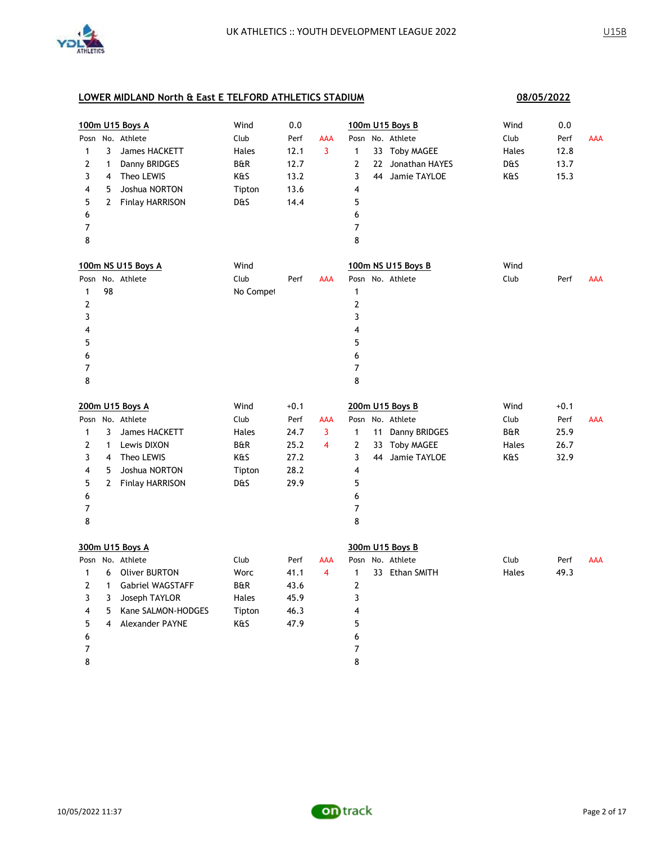

|                          |                | 100m U15 Boys A         | Wind           | 0.0    |                         | 100m U15 Boys B                |               | Wind  | 0.0    |            |
|--------------------------|----------------|-------------------------|----------------|--------|-------------------------|--------------------------------|---------------|-------|--------|------------|
|                          |                | Posn No. Athlete        | Club           | Perf   | <b>AAA</b>              | Posn No. Athlete               |               | Club  | Perf   | <b>AAA</b> |
| 1                        | 3              | James HACKETT           | Hales          | 12.1   | 3                       | 1<br>33 Toby MAGEE             |               | Hales | 12.8   |            |
| 2                        | 1              | Danny BRIDGES           | <b>B&amp;R</b> | 12.7   |                         | 2<br>22 Jonathan HAYES         |               | D&S   | 13.7   |            |
| 3                        | $\overline{a}$ | Theo LEWIS              | K&S            | 13.2   |                         | 3<br>44 Jamie TAYLOE           |               | K&S   | 15.3   |            |
| 4                        | 5              | Joshua NORTON           | Tipton         | 13.6   |                         | 4                              |               |       |        |            |
| 5                        | $\overline{2}$ | <b>Finlay HARRISON</b>  | D&S            | 14.4   |                         | 5                              |               |       |        |            |
| 6                        |                |                         |                |        |                         | 6                              |               |       |        |            |
| $\overline{7}$           |                |                         |                |        |                         | $\overline{7}$                 |               |       |        |            |
| 8                        |                |                         |                |        |                         | 8                              |               |       |        |            |
|                          |                | 100m NS U15 Boys A      | Wind           |        |                         | 100m NS U15 Boys B             |               | Wind  |        |            |
| Posn                     |                | No. Athlete             | Club           | Perf   | <b>AAA</b>              | Posn No. Athlete               |               | Club  | Perf   | <b>AAA</b> |
| 1                        | 98             |                         | No Compet      |        |                         | 1                              |               |       |        |            |
| 2                        |                |                         |                |        |                         | $\overline{2}$                 |               |       |        |            |
| 3                        |                |                         |                |        |                         | 3                              |               |       |        |            |
| 4                        |                |                         |                |        |                         | 4                              |               |       |        |            |
| 5                        |                |                         |                |        |                         | 5                              |               |       |        |            |
| 6                        |                |                         |                |        |                         | 6                              |               |       |        |            |
| $\overline{\mathcal{I}}$ |                |                         |                |        |                         | 7                              |               |       |        |            |
| 8                        |                |                         |                |        |                         | 8                              |               |       |        |            |
|                          |                |                         |                |        |                         |                                |               |       |        |            |
|                          |                | 200m U15 Boys A         | Wind           | $+0.1$ |                         | 200m U15 Boys B                |               | Wind  | $+0.1$ |            |
|                          |                | Posn No. Athlete        | Club           | Perf   | <b>AAA</b>              | Posn No. Athlete               |               | Club  | Perf   | <b>AAA</b> |
| $\mathbf{1}$             | 3              | James HACKETT           | Hales          | 24.7   | 3                       | 11<br>1                        | Danny BRIDGES | B&R   | 25.9   |            |
| 2                        | 1              | Lewis DIXON             | B&R            | 25.2   | $\overline{\mathbf{4}}$ | 2<br>33 Toby MAGEE             |               | Hales | 26.7   |            |
| 3                        | $\overline{4}$ | Theo LEWIS              | K&S            | 27.2   |                         | 3<br>44 Jamie TAYLOE           |               | K&S   | 32.9   |            |
| 4                        | 5              | Joshua NORTON           | Tipton         | 28.2   |                         | 4                              |               |       |        |            |
| 5                        | $\mathbf{2}$   | <b>Finlay HARRISON</b>  | D&S            | 29.9   |                         | 5                              |               |       |        |            |
| 6                        |                |                         |                |        |                         | 6                              |               |       |        |            |
| 7                        |                |                         |                |        |                         | $\overline{7}$                 |               |       |        |            |
| 8                        |                |                         |                |        |                         | 8                              |               |       |        |            |
|                          |                | 300m U15 Boys A         |                |        |                         | 300m U15 Boys B                |               |       |        |            |
|                          |                | Posn No. Athlete        | Club           | Perf   | AAA                     | Posn No. Athlete               |               | Club  | Perf   | <b>AAA</b> |
| 1                        | 6              | <b>Oliver BURTON</b>    | Worc           | 41.1   | $\overline{4}$          | $\mathbf{1}$<br>33 Ethan SMITH |               | Hales | 49.3   |            |
| 2                        | $\mathbf{1}$   | <b>Gabriel WAGSTAFF</b> | B&R            | 43.6   |                         | $\overline{2}$                 |               |       |        |            |
| 3                        | 3              | Joseph TAYLOR           | Hales          | 45.9   |                         | 3                              |               |       |        |            |
| 4                        | 5              | Kane SALMON-HODGES      | Tipton         | 46.3   |                         | 4                              |               |       |        |            |
| 5                        | 4              | Alexander PAYNE         | K&S            | 47.9   |                         | 5                              |               |       |        |            |
| 6                        |                |                         |                |        |                         | 6                              |               |       |        |            |
| 7                        |                |                         |                |        |                         | 7                              |               |       |        |            |

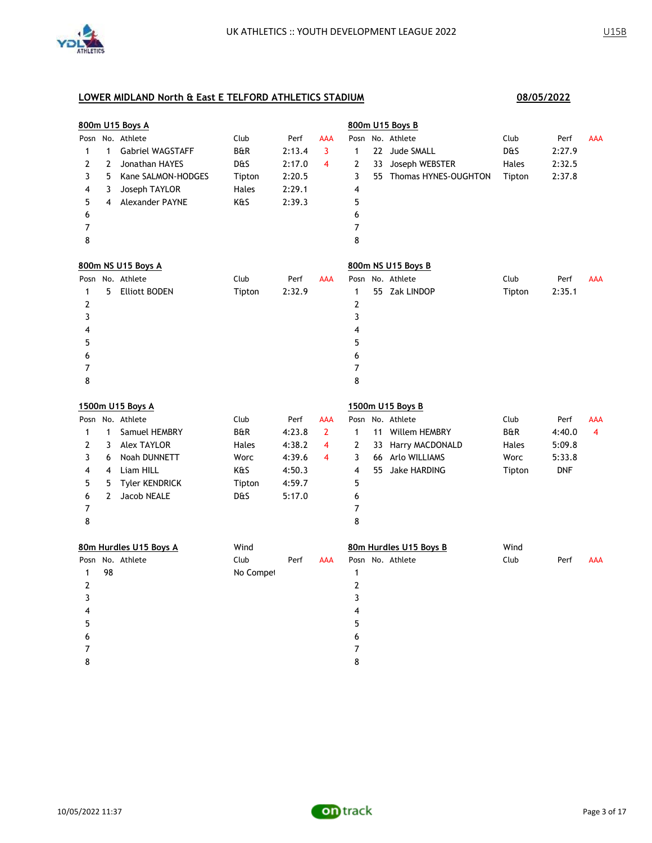

|                |                | 800m U15 Boys A         |                |        |                |                |    | 800m U15 Boys B         |                |            |                |
|----------------|----------------|-------------------------|----------------|--------|----------------|----------------|----|-------------------------|----------------|------------|----------------|
|                |                | Posn No. Athlete        | Club           | Perf   | AAA            |                |    | Posn No. Athlete        | Club           | Perf       | <b>AAA</b>     |
| 1              | $\mathbf{1}$   | <b>Gabriel WAGSTAFF</b> | <b>B&amp;R</b> | 2:13.4 | 3              | $\mathbf{1}$   |    | 22 Jude SMALL           | D&S            | 2:27.9     |                |
| $\overline{2}$ | $\overline{2}$ | Jonathan HAYES          | D&S            | 2:17.0 | 4              | 2              | 33 | Joseph WEBSTER          | Hales          | 2:32.5     |                |
| 3              | 5              | Kane SALMON-HODGES      | Tipton         | 2:20.5 |                | 3              |    | 55 Thomas HYNES-OUGHTON | Tipton         | 2:37.8     |                |
| 4              | 3              | Joseph TAYLOR           | Hales          | 2:29.1 |                | 4              |    |                         |                |            |                |
| 5              | 4              | Alexander PAYNE         | K&S            | 2:39.3 |                | 5              |    |                         |                |            |                |
| 6              |                |                         |                |        |                | 6              |    |                         |                |            |                |
| 7              |                |                         |                |        |                | $\overline{7}$ |    |                         |                |            |                |
| 8              |                |                         |                |        |                | 8              |    |                         |                |            |                |
|                |                | 800m NS U15 Boys A      |                |        |                |                |    | 800m NS U15 Boys B      |                |            |                |
|                |                | Posn No. Athlete        | Club           | Perf   | <b>AAA</b>     | Posn           |    | No. Athlete             | Club           | Perf       | <b>AAA</b>     |
| 1              | 5              | <b>Elliott BODEN</b>    | Tipton         | 2:32.9 |                | $\mathbf{1}$   |    | 55 Zak LINDOP           | Tipton         | 2:35.1     |                |
| $\overline{2}$ |                |                         |                |        |                | $\mathbf{2}$   |    |                         |                |            |                |
| 3              |                |                         |                |        |                | 3              |    |                         |                |            |                |
| 4              |                |                         |                |        |                | 4              |    |                         |                |            |                |
| 5              |                |                         |                |        |                | 5              |    |                         |                |            |                |
| 6              |                |                         |                |        |                | 6              |    |                         |                |            |                |
| 7              |                |                         |                |        |                | 7              |    |                         |                |            |                |
| 8              |                |                         |                |        |                | 8              |    |                         |                |            |                |
|                |                | 1500m U15 Boys A        |                |        |                |                |    | 1500m U15 Boys B        |                |            |                |
|                |                | Posn No. Athlete        | Club           | Perf   | AAA            |                |    | Posn No. Athlete        | Club           | Perf       | AAA            |
| 1              | $\mathbf{1}$   | Samuel HEMBRY           | <b>B&amp;R</b> | 4:23.8 | $\overline{2}$ | $\mathbf{1}$   |    | 11 Willem HEMBRY        | <b>B&amp;R</b> | 4:40.0     | $\overline{4}$ |
| 2              | 3              | <b>Alex TAYLOR</b>      | Hales          | 4:38.2 | 4              | 2              |    | 33 Harry MACDONALD      | Hales          | 5:09.8     |                |
| 3              | 6              | <b>Noah DUNNETT</b>     | Worc           | 4:39.6 | 4              | 3              |    | 66 Arlo WILLIAMS        | Worc           | 5:33.8     |                |
| 4              | 4              | Liam HILL               | K&S            | 4:50.3 |                | 4              |    | 55 Jake HARDING         | Tipton         | <b>DNF</b> |                |
| 5              | 5              | <b>Tyler KENDRICK</b>   | Tipton         | 4:59.7 |                | 5              |    |                         |                |            |                |
| 6              | $\overline{2}$ | Jacob NEALE             | D&S            | 5:17.0 |                | 6              |    |                         |                |            |                |
| 7              |                |                         |                |        |                | 7              |    |                         |                |            |                |
| 8              |                |                         |                |        |                | 8              |    |                         |                |            |                |
|                |                | 80m Hurdles U15 Boys A  | Wind           |        |                |                |    | 80m Hurdles U15 Boys B  | Wind           |            |                |
| Posn           |                | No. Athlete             | Club           | Perf   | AAA            |                |    | Posn No. Athlete        | Club           | Perf       | <b>AAA</b>     |
| 1              | 98             |                         | No Compet      |        |                | $\mathbf{1}$   |    |                         |                |            |                |
| 2              |                |                         |                |        |                | $\mathbf{2}$   |    |                         |                |            |                |
| 3              |                |                         |                |        |                | 3              |    |                         |                |            |                |
| 4              |                |                         |                |        |                | 4              |    |                         |                |            |                |
| 5              |                |                         |                |        |                | 5              |    |                         |                |            |                |
| 6              |                |                         |                |        |                | 6              |    |                         |                |            |                |
| 7              |                |                         |                |        |                | 7              |    |                         |                |            |                |
| 8              |                |                         |                |        |                | 8              |    |                         |                |            |                |

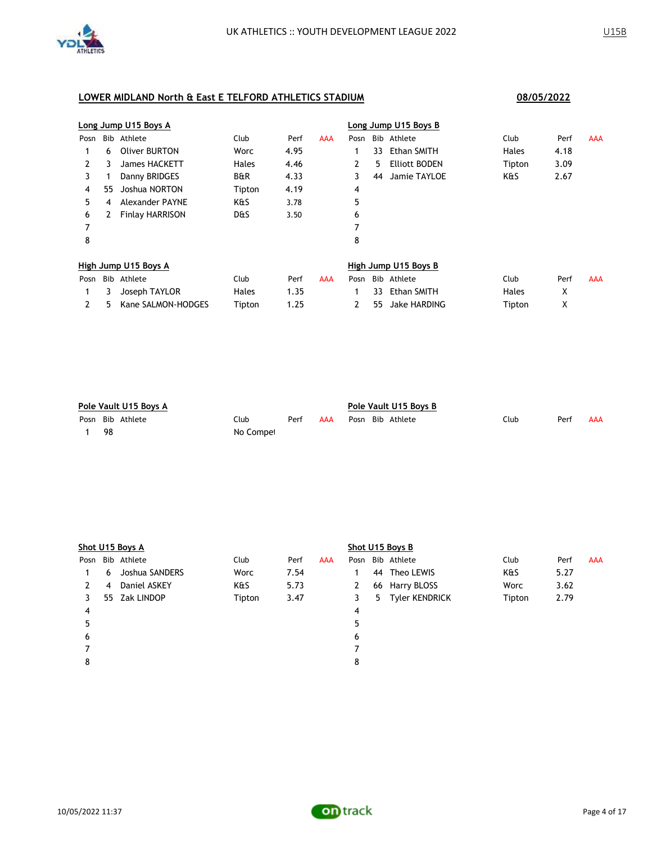

# **Long Jump U15 Boys A Long Jump U15 Boys B** Posn Bib Athlete Club Perf AAA Posn Bib Athlete Club Perf AAA 1 6 Oliver BURTON Worc 4.95 1 33 Ethan SMITH Hales 4.18 2 3 James HACKETT Hales 4.46 2 5 Elliott BODEN Tipton 3.09 3 1 Danny BRIDGES B&R 4.33 3 44 Jamie TAYLOE K&S 2.67 4 55 Joshua NORTON Tipton 4.19 4 5 4 Alexander PAYNE K&S 3.78 5 6 2 Finlay HARRISON D&S 3.50 6 7 7 8 8 **High Jump U15 Boys A High Jump U15 Boys B** Posn Bib Athlete Club Perf AAA Posn Bib Athlete Club Perf AAA 1 3 Joseph TAYLOR Hales 1.35 1 33 Ethan SMITH Hales X 2 5 Kane SALMON-HODGES Tipton 1.25 2 55 Jake HARDING Tipton X

| Pole Vault U15 Boys A |                  |           |      |     | Pole Vault U15 Boys B |  |                  |      |      |     |  |
|-----------------------|------------------|-----------|------|-----|-----------------------|--|------------------|------|------|-----|--|
|                       | Posn Bib Athlete | Club      | Perf | AAA |                       |  | Posn Bib Athlete | Club | Perf | AAA |  |
| 98                    |                  | No Compet |      |     |                       |  |                  |      |      |     |  |

|      | Shot U15 Boys A |                |        |      |            |   |  | Shot U15 Boys B  |        |      |     |  |  |  |
|------|-----------------|----------------|--------|------|------------|---|--|------------------|--------|------|-----|--|--|--|
| Posn |                 | Bib Athlete    | Club   | Perf | <b>AAA</b> |   |  | Posn Bib Athlete | Club   | Perf | AAA |  |  |  |
|      | 6               | Joshua SANDERS | Worc   | 7.54 |            |   |  | 44 Theo LEWIS    | K&S    | 5.27 |     |  |  |  |
| 2    | 4               | Daniel ASKEY   | K&S    | 5.73 |            | 2 |  | 66 Harry BLOSS   | Worc   | 3.62 |     |  |  |  |
| 3    |                 | 55 Zak LINDOP  | Tipton | 3.47 |            | 3 |  | 5 Tyler KENDRICK | Tipton | 2.79 |     |  |  |  |
| 4    |                 |                |        |      |            | 4 |  |                  |        |      |     |  |  |  |
| 5    |                 |                |        |      |            | 5 |  |                  |        |      |     |  |  |  |
| 6    |                 |                |        |      |            | 6 |  |                  |        |      |     |  |  |  |
|      |                 |                |        |      |            |   |  |                  |        |      |     |  |  |  |
| 8    |                 |                |        |      |            | 8 |  |                  |        |      |     |  |  |  |
|      |                 |                |        |      |            |   |  |                  |        |      |     |  |  |  |

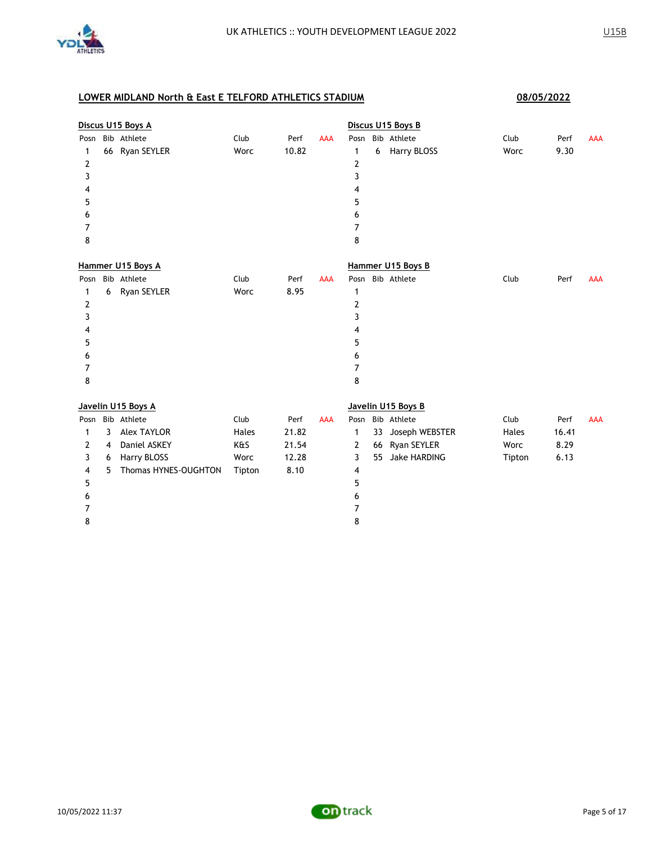

|                |   | Discus U15 Boys A    |        |       |            |      |    | Discus U15 Boys B   |        |       |            |
|----------------|---|----------------------|--------|-------|------------|------|----|---------------------|--------|-------|------------|
| Posn           |   | Bib Athlete          | Club   | Perf  | <b>AAA</b> | Posn |    | Bib Athlete         | Club   | Perf  | <b>AAA</b> |
| 1              |   | 66 Ryan SEYLER       | Worc   | 10.82 |            | 1    | 6  | Harry BLOSS         | Worc   | 9.30  |            |
| $\overline{2}$ |   |                      |        |       |            | 2    |    |                     |        |       |            |
| 3              |   |                      |        |       |            | 3    |    |                     |        |       |            |
| 4              |   |                      |        |       |            | 4    |    |                     |        |       |            |
| 5              |   |                      |        |       |            | 5    |    |                     |        |       |            |
| 6              |   |                      |        |       |            | 6    |    |                     |        |       |            |
| 7              |   |                      |        |       |            | 7    |    |                     |        |       |            |
| 8              |   |                      |        |       |            | 8    |    |                     |        |       |            |
|                |   | Hammer U15 Boys A    |        |       |            |      |    | Hammer U15 Boys B   |        |       |            |
| Posn           |   | Bib Athlete          | Club   | Perf  | <b>AAA</b> | Posn |    | Bib Athlete         | Club   | Perf  | AAA        |
| 1              | 6 | Ryan SEYLER          | Worc   | 8.95  |            | 1    |    |                     |        |       |            |
| 2              |   |                      |        |       |            | 2    |    |                     |        |       |            |
| 3              |   |                      |        |       |            | 3    |    |                     |        |       |            |
| 4              |   |                      |        |       |            | 4    |    |                     |        |       |            |
| 5              |   |                      |        |       |            | 5    |    |                     |        |       |            |
| 6              |   |                      |        |       |            | 6    |    |                     |        |       |            |
| 7              |   |                      |        |       |            | 7    |    |                     |        |       |            |
| 8              |   |                      |        |       |            | 8    |    |                     |        |       |            |
|                |   | Javelin U15 Boys A   |        |       |            |      |    | Javelin U15 Boys B  |        |       |            |
| Posn           |   | Bib Athlete          | Club   | Perf  | <b>AAA</b> |      |    | Posn Bib Athlete    | Club   | Perf  | <b>AAA</b> |
| 1              | 3 | <b>Alex TAYLOR</b>   | Hales  | 21.82 |            | 1    | 33 | Joseph WEBSTER      | Hales  | 16.41 |            |
| 2              | 4 | Daniel ASKEY         | K&S    | 21.54 |            | 2    | 66 | Ryan SEYLER         | Worc   | 8.29  |            |
| 3              | 6 | Harry BLOSS          | Worc   | 12.28 |            | 3    | 55 | <b>Jake HARDING</b> | Tipton | 6.13  |            |
| 4              | 5 | Thomas HYNES-OUGHTON | Tipton | 8.10  |            | 4    |    |                     |        |       |            |
| 5              |   |                      |        |       |            | 5    |    |                     |        |       |            |
| 6              |   |                      |        |       |            | 6    |    |                     |        |       |            |
| 7              |   |                      |        |       |            | 7    |    |                     |        |       |            |
| 8              |   |                      |        |       |            | 8    |    |                     |        |       |            |
|                |   |                      |        |       |            |      |    |                     |        |       |            |

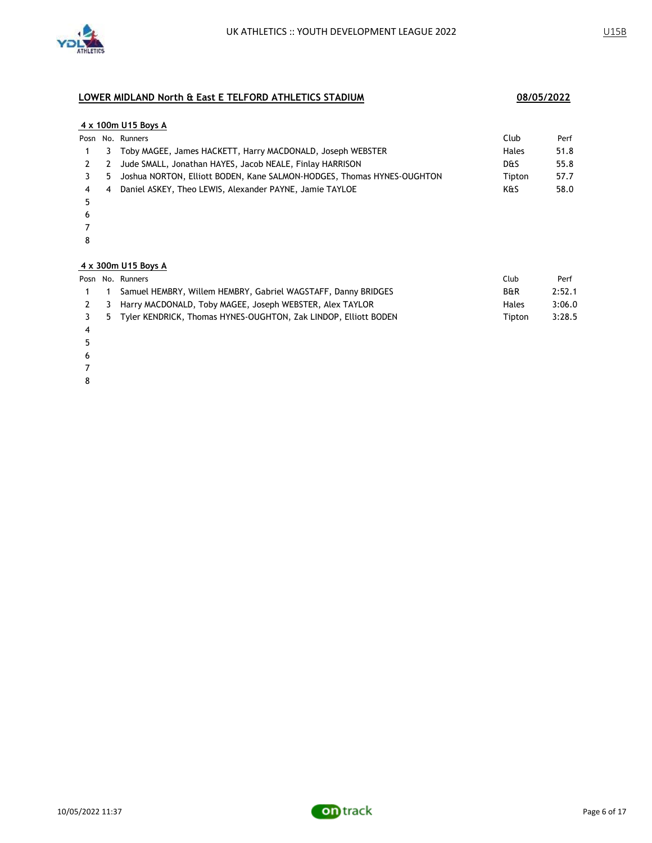

#### **4 x 100m U15 Boys A**

|             |     | Posn No. Runners                                                       | Club           | Perf |
|-------------|-----|------------------------------------------------------------------------|----------------|------|
|             |     | 1 3 Toby MAGEE, James HACKETT, Harry MACDONALD, Joseph WEBSTER         | Hales          | 51.8 |
| 2 2         |     | Jude SMALL, Jonathan HAYES, Jacob NEALE, Finlay HARRISON               | <b>D&amp;S</b> | 55.8 |
| $3 \quad 5$ |     | Joshua NORTON, Elliott BODEN, Kane SALMON-HODGES, Thomas HYNES-OUGHTON | Tipton         | 57.7 |
| 4           | - 4 | Daniel ASKEY, Theo LEWIS, Alexander PAYNE, Jamie TAYLOE                | K&S            | 58.0 |
|             |     |                                                                        |                |      |

- 
- 
- 

### **4 x 300m U15 Boys A**

|                | Posn No. Runners                                                    | Club           | Perf   |
|----------------|---------------------------------------------------------------------|----------------|--------|
| $\overline{1}$ | Samuel HEMBRY, Willem HEMBRY, Gabriel WAGSTAFF, Danny BRIDGES       | <b>B&amp;R</b> | 2:52.1 |
|                | 2 3 Harry MACDONALD, Toby MAGEE, Joseph WEBSTER, Alex TAYLOR        | <b>Hales</b>   | 3:06.0 |
|                | 3 5 Tyler KENDRICK, Thomas HYNES-OUGHTON, Zak LINDOP, Elliott BODEN | Tipton         | 3:28.5 |
|                |                                                                     |                |        |

- 
- 
- 
- 
- 

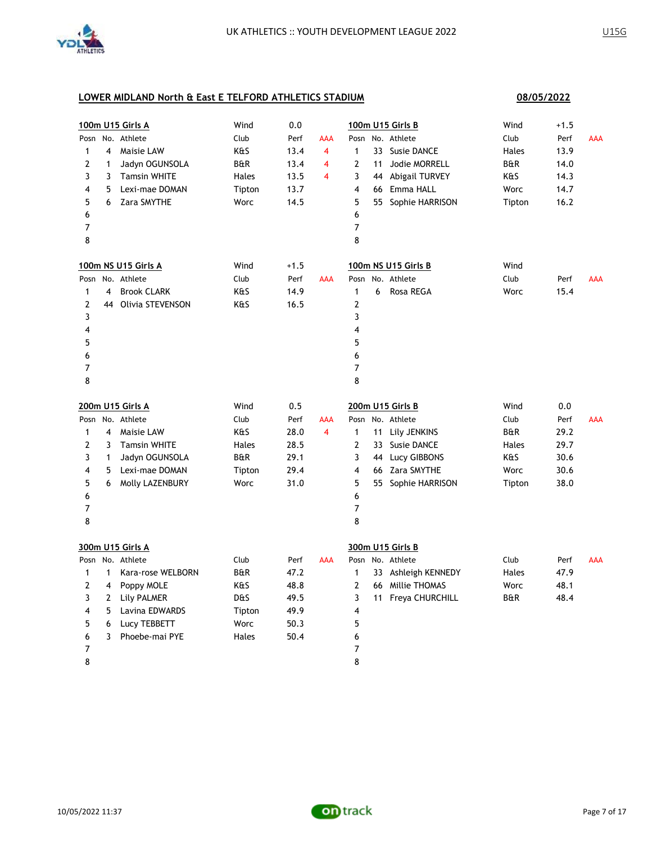

|                |                | 100m U15 Girls A    | Wind   | 0.0    |                |                         |    | 100m U15 Girls B    | Wind           | $+1.5$ |            |
|----------------|----------------|---------------------|--------|--------|----------------|-------------------------|----|---------------------|----------------|--------|------------|
|                |                | Posn No. Athlete    | Club   | Perf   | <b>AAA</b>     |                         |    | Posn No. Athlete    | Club           | Perf   | AAA        |
| $\mathbf{1}$   | 4              | Maisie LAW          | K&S    | 13.4   | $\overline{4}$ | $\mathbf{1}$            |    | 33 Susie DANCE      | Hales          | 13.9   |            |
| 2              | 1              | Jadyn OGUNSOLA      | B&R    | 13.4   | 4              | 2                       | 11 | Jodie MORRELL       | B&R            | 14.0   |            |
| 3              | 3              | <b>Tamsin WHITE</b> | Hales  | 13.5   | 4              | 3                       |    | 44 Abigail TURVEY   | K&S            | 14.3   |            |
| 4              | 5              | Lexi-mae DOMAN      | Tipton | 13.7   |                | $\overline{\mathbf{4}}$ |    | 66 Emma HALL        | Worc           | 14.7   |            |
| 5              | 6              | Zara SMYTHE         | Worc   | 14.5   |                | 5                       |    | 55 Sophie HARRISON  | Tipton         | 16.2   |            |
| 6              |                |                     |        |        |                | 6                       |    |                     |                |        |            |
| 7              |                |                     |        |        |                | 7                       |    |                     |                |        |            |
| 8              |                |                     |        |        |                | 8                       |    |                     |                |        |            |
|                |                | 100m NS U15 Girls A | Wind   | $+1.5$ |                |                         |    | 100m NS U15 Girls B | Wind           |        |            |
|                |                | Posn No. Athlete    | Club   | Perf   | <b>AAA</b>     |                         |    | Posn No. Athlete    | Club           | Perf   | <b>AAA</b> |
| $\mathbf{1}$   | 4              | <b>Brook CLARK</b>  | K&S    | 14.9   |                | $\mathbf{1}$            | 6  | Rosa REGA           | Worc           | 15.4   |            |
| 2              |                | 44 Olivia STEVENSON | K&S    | 16.5   |                | $\mathbf{2}$            |    |                     |                |        |            |
| 3              |                |                     |        |        |                | 3                       |    |                     |                |        |            |
| 4              |                |                     |        |        |                | $\overline{4}$          |    |                     |                |        |            |
| 5              |                |                     |        |        |                | 5                       |    |                     |                |        |            |
| 6              |                |                     |        |        |                | 6                       |    |                     |                |        |            |
| 7              |                |                     |        |        |                | 7                       |    |                     |                |        |            |
| 8              |                |                     |        |        |                | 8                       |    |                     |                |        |            |
|                |                | 200m U15 Girls A    | Wind   | 0.5    |                |                         |    | 200m U15 Girls B    | Wind           | 0.0    |            |
|                |                | Posn No. Athlete    | Club   | Perf   | AAA            | Posn                    |    | No. Athlete         | Club           | Perf   | <b>AAA</b> |
| $\mathbf{1}$   | $\overline{4}$ | Maisie LAW          | K&S    | 28.0   | $\overline{4}$ | $\mathbf{1}$            |    | 11 Lily JENKINS     | <b>B&amp;R</b> | 29.2   |            |
| $\overline{2}$ | 3              | <b>Tamsin WHITE</b> | Hales  | 28.5   |                | $\overline{2}$          |    | 33 Susie DANCE      | Hales          | 29.7   |            |
| 3              | $\mathbf{1}$   | Jadyn OGUNSOLA      | B&R    | 29.1   |                | 3                       |    | 44 Lucy GIBBONS     | K&S            | 30.6   |            |
| 4              | 5              | Lexi-mae DOMAN      | Tipton | 29.4   |                | 4                       |    | 66 Zara SMYTHE      | Worc           | 30.6   |            |
| 5              | 6              | Molly LAZENBURY     | Worc   | 31.0   |                | 5                       |    | 55 Sophie HARRISON  | Tipton         | 38.0   |            |
| 6              |                |                     |        |        |                | 6                       |    |                     |                |        |            |
| 7              |                |                     |        |        |                | 7                       |    |                     |                |        |            |
| 8              |                |                     |        |        |                | 8                       |    |                     |                |        |            |
|                |                | 300m U15 Girls A    |        |        |                |                         |    | 300m U15 Girls B    |                |        |            |
|                |                | Posn No. Athlete    | Club   | Perf   | AAA            |                         |    | Posn No. Athlete    | Club           | Perf   | <b>AAA</b> |
| $\mathbf{1}$   | $\mathbf{1}$   | Kara-rose WELBORN   | B&R    | 47.2   |                | 1                       |    | 33 Ashleigh KENNEDY | Hales          | 47.9   |            |
| 2              | 4              | Poppy MOLE          | K&S    | 48.8   |                | $\overline{2}$          |    | 66 Millie THOMAS    | Worc           | 48.1   |            |
| 3              | $\overline{2}$ | Lily PALMER         | D&S    | 49.5   |                | 3                       |    | 11 Freya CHURCHILL  | B&R            | 48.4   |            |
| 4              | 5              | Lavina EDWARDS      | Tipton | 49.9   |                | 4                       |    |                     |                |        |            |
| 5              | 6              | Lucy TEBBETT        | Worc   | 50.3   |                | 5                       |    |                     |                |        |            |
| 6              | 3              | Phoebe-mai PYE      | Hales  | 50.4   |                | 6                       |    |                     |                |        |            |
| 7              |                |                     |        |        |                | $\overline{7}$          |    |                     |                |        |            |
| 8              |                |                     |        |        |                | 8                       |    |                     |                |        |            |

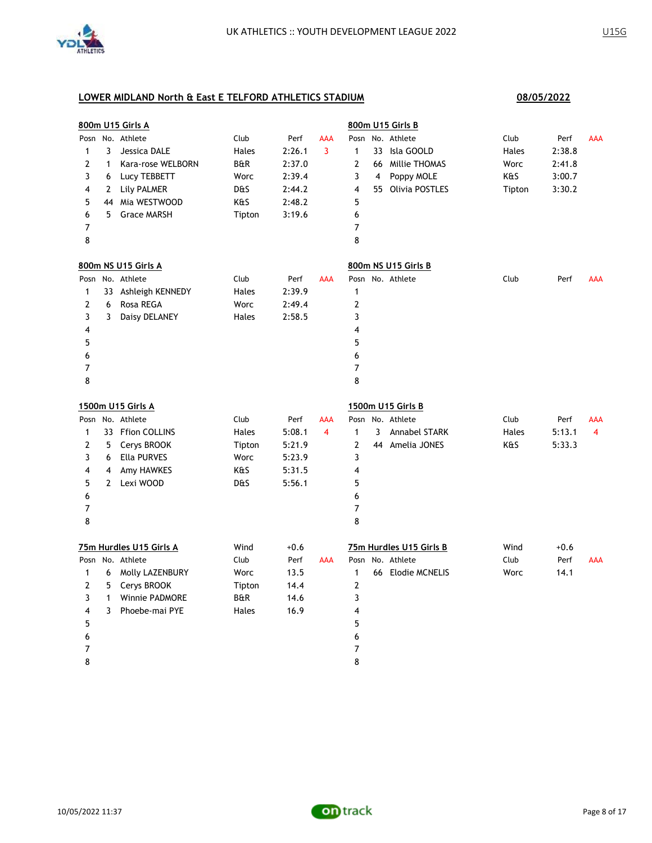

|              |              | 800m U15 Girls A        |                |        |            |                |                | 800m U15 Girls B        |        |        |     |
|--------------|--------------|-------------------------|----------------|--------|------------|----------------|----------------|-------------------------|--------|--------|-----|
|              |              | Posn No. Athlete        | Club           | Perf   | AAA        |                |                | Posn No. Athlete        | Club   | Perf   | AAA |
| $\mathbf{1}$ | 3            | Jessica DALE            | Hales          | 2:26.1 | 3          | $\mathbf{1}$   |                | 33 Isla GOOLD           | Hales  | 2:38.8 |     |
| $\mathbf{2}$ | $\mathbf{1}$ | Kara-rose WELBORN       | B&R            | 2:37.0 |            | $\overline{2}$ |                | 66 Millie THOMAS        | Worc   | 2:41.8 |     |
| 3            | 6            | Lucy TEBBETT            | Worc           | 2:39.4 |            | 3              | $\overline{4}$ | Poppy MOLE              | K&S    | 3:00.7 |     |
| 4            | 2            | Lily PALMER             | D&S            | 2:44.2 |            | 4              |                | 55 Olivia POSTLES       | Tipton | 3:30.2 |     |
| 5            | 44           | Mia WESTWOOD            | K&S            | 2:48.2 |            | 5              |                |                         |        |        |     |
| 6            | 5            | <b>Grace MARSH</b>      | Tipton         | 3:19.6 |            | 6              |                |                         |        |        |     |
| 7            |              |                         |                |        |            | 7              |                |                         |        |        |     |
| 8            |              |                         |                |        |            | 8              |                |                         |        |        |     |
|              |              | 800m NS U15 Girls A     |                |        |            |                |                | 800m NS U15 Girls B     |        |        |     |
| Posn         |              | No. Athlete             | Club           | Perf   | <b>AAA</b> |                |                | Posn No. Athlete        | Club   | Perf   | AAA |
| 1            | 33           | Ashleigh KENNEDY        | Hales          | 2:39.9 |            | $\mathbf{1}$   |                |                         |        |        |     |
| 2            | 6            | Rosa REGA               | Worc           | 2:49.4 |            | 2              |                |                         |        |        |     |
| 3            | 3            | Daisy DELANEY           | Hales          | 2:58.5 |            | 3              |                |                         |        |        |     |
| 4            |              |                         |                |        |            | 4              |                |                         |        |        |     |
| 5            |              |                         |                |        |            | 5              |                |                         |        |        |     |
| 6            |              |                         |                |        |            | 6              |                |                         |        |        |     |
| 7            |              |                         |                |        |            | 7              |                |                         |        |        |     |
| 8            |              |                         |                |        |            | 8              |                |                         |        |        |     |
|              |              | 1500m U15 Girls A       |                |        |            |                |                | 1500m U15 Girls B       |        |        |     |
|              |              | Posn No. Athlete        | Club           | Perf   | AAA        |                |                | Posn No. Athlete        | Club   | Perf   | AAA |
| 1            |              | 33 Ffion COLLINS        | Hales          | 5:08.1 | 4          | $\mathbf{1}$   | 3              | <b>Annabel STARK</b>    | Hales  | 5:13.1 | 4   |
| 2            | 5            | Cerys BROOK             | Tipton         | 5:21.9 |            | $\overline{2}$ |                | 44 Amelia JONES         | K&S    | 5:33.3 |     |
| 3            | 6            | <b>Ella PURVES</b>      | Worc           | 5:23.9 |            | 3              |                |                         |        |        |     |
| 4            | 4            | Amy HAWKES              | K&S            | 5:31.5 |            | 4              |                |                         |        |        |     |
| 5            | $\mathbf{2}$ | Lexi WOOD               | D&S            | 5:56.1 |            | 5              |                |                         |        |        |     |
| 6            |              |                         |                |        |            | 6              |                |                         |        |        |     |
| 7            |              |                         |                |        |            | $\overline{7}$ |                |                         |        |        |     |
| 8            |              |                         |                |        |            | 8              |                |                         |        |        |     |
|              |              | 75m Hurdles U15 Girls A | Wind           | $+0.6$ |            |                |                | 75m Hurdles U15 Girls B | Wind   | $+0.6$ |     |
|              |              | Posn No. Athlete        | Club           | Perf   | AAA        |                |                | Posn No. Athlete        | Club   | Perf   | AAA |
| $\mathbf{1}$ | 6            | Molly LAZENBURY         | Worc           | 13.5   |            | 1              |                | 66 Elodie MCNELIS       | Worc   | 14.1   |     |
| 2            | 5            | Cerys BROOK             | Tipton         | 14.4   |            | 2              |                |                         |        |        |     |
| 3            | $\mathbf{1}$ | <b>Winnie PADMORE</b>   | <b>B&amp;R</b> | 14.6   |            | 3              |                |                         |        |        |     |
| 4            | 3            | Phoebe-mai PYE          | Hales          | 16.9   |            | 4              |                |                         |        |        |     |
| 5            |              |                         |                |        |            | 5              |                |                         |        |        |     |
| 6            |              |                         |                |        |            | 6              |                |                         |        |        |     |
| 7            |              |                         |                |        |            | 7              |                |                         |        |        |     |
| 8            |              |                         |                |        |            | 8              |                |                         |        |        |     |

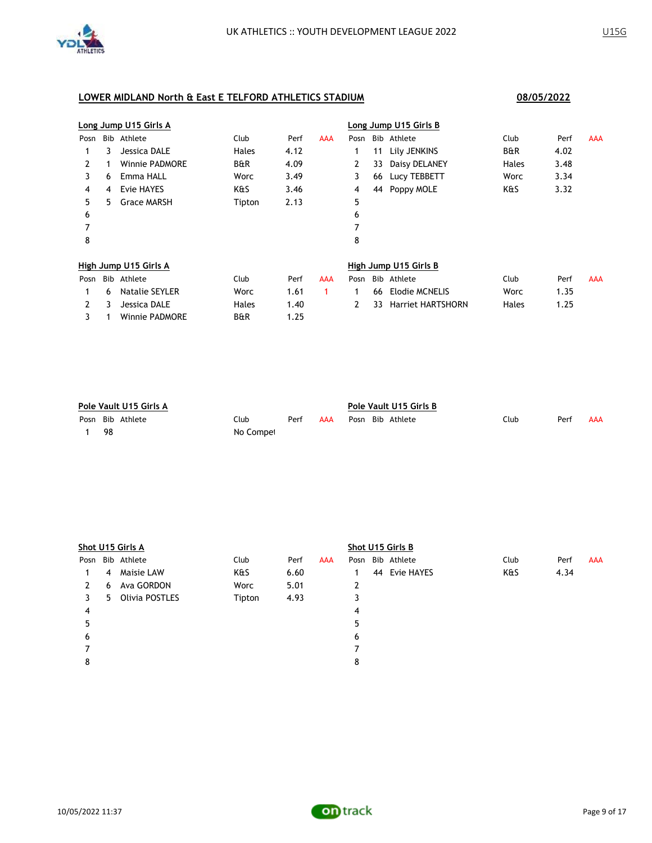

3 1 Winnie PADMORE B&R 1.25

# **Long Jump U15 Girls A Long Jump U15 Girls B** Posn Bib Athlete Club Perf AAA Posn Bib Athlete Club Perf AAA 1 3 Jessica DALE Hales 4.12 1 11 Lily JENKINS B&R 4.02 2 1 Winnie PADMORE B&R 4.09 2 33 Daisy DELANEY Hales 3.48 3 6 Emma HALL Worc 3.49 3 66 Lucy TEBBETT Worc 3.34 4 4 Evie HAYES K&S 3.46 4 44 Poppy MOLE K&S 3.32 5 5 Grace MARSH Tipton 2.13 5  $6$ 7 7 8 8 **High Jump U15 Girls A High Jump U15 Girls B** Posn Bib Athlete Club Perf AAA Posn Bib Athlete Club Perf AAA 1 6 Natalie SEYLER Worc 1.61 1 1 66 Elodie MCNELIS Worc 1.35 2 3 Jessica DALE Hales 1.40 2 33 Harriet HARTSHORN Hales 1.25

| Pole Vault U15 Girls A |  |           |      |     |  | Pole Vault U15 Girls B |                  |      |      |     |  |  |
|------------------------|--|-----------|------|-----|--|------------------------|------------------|------|------|-----|--|--|
| Posn Bib Athlete       |  | Club      | Perf | AAA |  |                        | Posn Bib Athlete | Club | Perf | AAA |  |  |
| -98                    |  | No Compet |      |     |  |                        |                  |      |      |     |  |  |

|      | Shot U15 Girls A |                |        |      |            |      |  | Shot U15 Girls B |      |      |            |  |  |  |
|------|------------------|----------------|--------|------|------------|------|--|------------------|------|------|------------|--|--|--|
| Posn |                  | Bib Athlete    | Club   | Perf | <b>AAA</b> | Posn |  | Bib Athlete      | Club | Perf | <b>AAA</b> |  |  |  |
|      | 4                | Maisie LAW     | K&S    | 6.60 |            |      |  | 44 Evie HAYES    | K&S  | 4.34 |            |  |  |  |
| 2    | 6                | Ava GORDON     | Worc   | 5.01 |            | 2    |  |                  |      |      |            |  |  |  |
|      | 5.               | Olivia POSTLES | Tipton | 4.93 |            | 3    |  |                  |      |      |            |  |  |  |
| 4    |                  |                |        |      |            | 4    |  |                  |      |      |            |  |  |  |
|      |                  |                |        |      |            | 5    |  |                  |      |      |            |  |  |  |
| 6    |                  |                |        |      |            | 6    |  |                  |      |      |            |  |  |  |
|      |                  |                |        |      |            |      |  |                  |      |      |            |  |  |  |
| 8    |                  |                |        |      |            | 8    |  |                  |      |      |            |  |  |  |
|      |                  |                |        |      |            |      |  |                  |      |      |            |  |  |  |

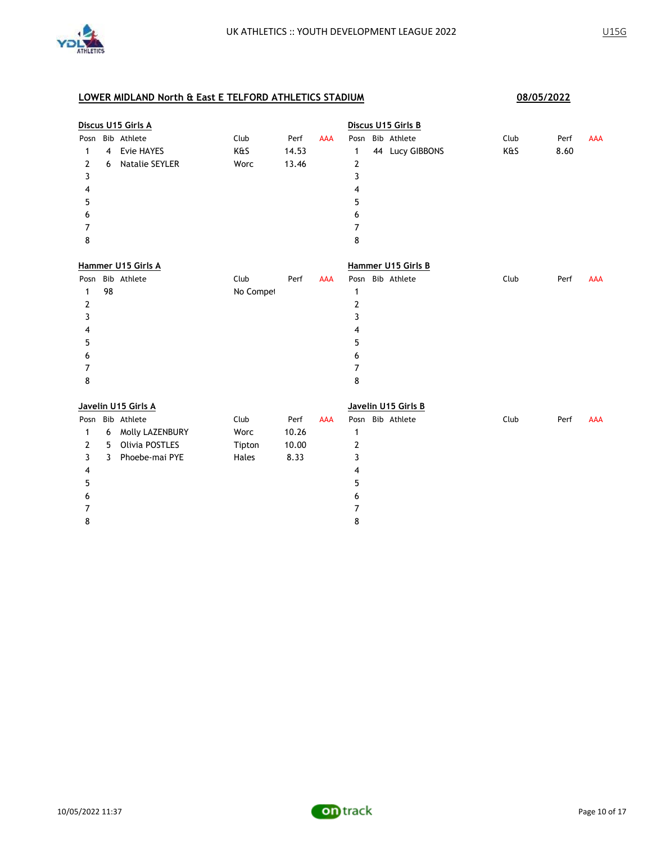

|      |    | Discus U15 Girls A    |           |       |            |              | Discus U15 Girls B  |      |      |            |
|------|----|-----------------------|-----------|-------|------------|--------------|---------------------|------|------|------------|
| Posn |    | Bib Athlete           | Club      | Perf  | <b>AAA</b> |              | Posn Bib Athlete    | Club | Perf | <b>AAA</b> |
| 1    | 4  | Evie HAYES            | K&S       | 14.53 |            | 1            | 44 Lucy GIBBONS     | K&S  | 8.60 |            |
| 2    | 6  | <b>Natalie SEYLER</b> | Worc      | 13.46 |            | 2            |                     |      |      |            |
| 3    |    |                       |           |       |            | 3            |                     |      |      |            |
| 4    |    |                       |           |       |            | 4            |                     |      |      |            |
| 5    |    |                       |           |       |            | 5            |                     |      |      |            |
| 6    |    |                       |           |       |            | 6            |                     |      |      |            |
| 7    |    |                       |           |       |            | 7            |                     |      |      |            |
| 8    |    |                       |           |       |            | 8            |                     |      |      |            |
|      |    | Hammer U15 Girls A    |           |       |            |              | Hammer U15 Girls B  |      |      |            |
| Posn |    | Bib Athlete           | Club      | Perf  | AAA        |              | Posn Bib Athlete    | Club | Perf | <b>AAA</b> |
| 1    | 98 |                       | No Compet |       |            | $\mathbf{1}$ |                     |      |      |            |
| 2    |    |                       |           |       |            | 2            |                     |      |      |            |
| 3    |    |                       |           |       |            | 3            |                     |      |      |            |
| 4    |    |                       |           |       |            | 4            |                     |      |      |            |
| 5    |    |                       |           |       |            | 5            |                     |      |      |            |
| 6    |    |                       |           |       |            | 6            |                     |      |      |            |
| 7    |    |                       |           |       |            | 7            |                     |      |      |            |
| 8    |    |                       |           |       |            | 8            |                     |      |      |            |
|      |    | Javelin U15 Girls A   |           |       |            |              | Javelin U15 Girls B |      |      |            |
| Posn |    | Bib Athlete           | Club      | Perf  | <b>AAA</b> |              | Posn Bib Athlete    | Club | Perf | <b>AAA</b> |
| 1    | 6  | Molly LAZENBURY       | Worc      | 10.26 |            | $\mathbf{1}$ |                     |      |      |            |
| 2    | 5  | Olivia POSTLES        | Tipton    | 10.00 |            | 2            |                     |      |      |            |
| 3    | 3  | Phoebe-mai PYE        | Hales     | 8.33  |            | 3            |                     |      |      |            |
| 4    |    |                       |           |       |            | 4            |                     |      |      |            |
| 5    |    |                       |           |       |            | 5            |                     |      |      |            |
| 6    |    |                       |           |       |            | 6            |                     |      |      |            |
| 7    |    |                       |           |       |            | 7            |                     |      |      |            |
| 8    |    |                       |           |       |            | 8            |                     |      |      |            |

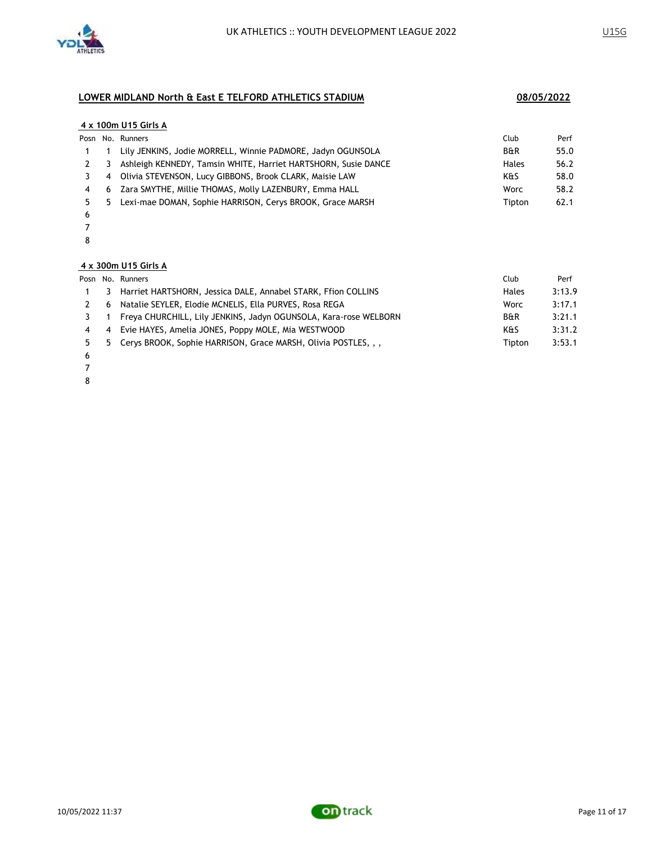

#### **4 x 100m U15 Girls A**

|     |    | Posn No. Runners                                               | Club           | Perf |
|-----|----|----------------------------------------------------------------|----------------|------|
|     |    | Lily JENKINS, Jodie MORRELL, Winnie PADMORE, Jadyn OGUNSOLA    | <b>B&amp;R</b> | 55.0 |
| 2 3 |    | Ashleigh KENNEDY, Tamsin WHITE, Harriet HARTSHORN, Susie DANCE | Hales          | 56.2 |
|     | -4 | Olivia STEVENSON, Lucy GIBBONS, Brook CLARK, Maisie LAW        | K&S            | 58.0 |
| 4   | 6  | Zara SMYTHE, Millie THOMAS, Molly LAZENBURY, Emma HALL         | Worc           | 58.2 |
|     | -5 | Lexi-mae DOMAN, Sophie HARRISON, Cerys BROOK, Grace MARSH      | Tipton         | 62.1 |
|     |    |                                                                |                |      |

- 6 7
- 8

# **4 x 300m U15 Girls A**

|                | Club                                                                                                                                                                                                                                                                                                                                      | Perf   |
|----------------|-------------------------------------------------------------------------------------------------------------------------------------------------------------------------------------------------------------------------------------------------------------------------------------------------------------------------------------------|--------|
| 3              | Hales                                                                                                                                                                                                                                                                                                                                     | 3:13.9 |
| 6              | <b>Worc</b>                                                                                                                                                                                                                                                                                                                               | 3:17.1 |
|                | <b>B&amp;R</b>                                                                                                                                                                                                                                                                                                                            | 3:21.1 |
| $\overline{4}$ | K&S                                                                                                                                                                                                                                                                                                                                       | 3:31.2 |
|                | Tipton                                                                                                                                                                                                                                                                                                                                    | 3:53.1 |
|                | Posn No. Runners<br>Harriet HARTSHORN, Jessica DALE, Annabel STARK, Ffion COLLINS<br>Natalie SEYLER, Elodie MCNELIS, Ella PURVES, Rosa REGA<br>Freya CHURCHILL, Lily JENKINS, Jadyn OGUNSOLA, Kara-rose WELBORN<br>Evie HAYES, Amelia JONES, Poppy MOLE, Mia WESTWOOD<br>5 Cerys BROOK, Sophie HARRISON, Grace MARSH, Olivia POSTLES, , , |        |

- 6
- 7
- 8

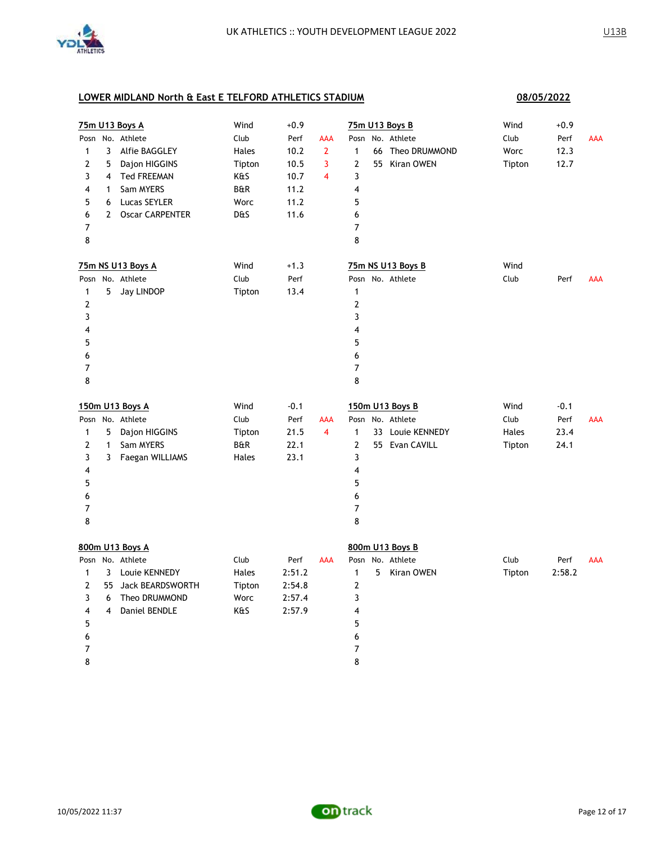

|                |                | 75m U13 Boys A         | Wind   | $+0.9$ |                         | 75m U13 Boys B                   | Wind        | $+0.9$ |            |
|----------------|----------------|------------------------|--------|--------|-------------------------|----------------------------------|-------------|--------|------------|
| Posn           |                | No. Athlete            | Club   | Perf   | AAA                     | No. Athlete<br>Posn              | Club        | Perf   | AAA        |
| 1              | 3              | Alfie BAGGLEY          | Hales  | 10.2   | $\overline{2}$          | 66 Theo DRUMMOND<br>$\mathbf{1}$ | <b>Worc</b> | 12.3   |            |
| 2              | 5              | Dajon HIGGINS          | Tipton | 10.5   | 3                       | 55 Kiran OWEN<br>2               | Tipton      | 12.7   |            |
| 3              | $\overline{4}$ | <b>Ted FREEMAN</b>     | K&S    | 10.7   | $\overline{\mathbf{4}}$ | 3                                |             |        |            |
| 4              | 1              | Sam MYERS              | B&R    | 11.2   |                         | 4                                |             |        |            |
| 5              | 6              | Lucas SEYLER           | Worc   | 11.2   |                         | 5                                |             |        |            |
| 6              | $\overline{2}$ | <b>Oscar CARPENTER</b> | D&S    | 11.6   |                         | 6                                |             |        |            |
| 7              |                |                        |        |        |                         | 7                                |             |        |            |
| 8              |                |                        |        |        |                         | 8                                |             |        |            |
|                |                | 75m NS U13 Boys A      | Wind   | $+1.3$ |                         | 75m NS U13 Boys B                | Wind        |        |            |
|                |                | Posn No. Athlete       | Club   | Perf   |                         | Posn No. Athlete                 | Club        | Perf   | <b>AAA</b> |
| $\mathbf{1}$   | 5              | Jay LINDOP             | Tipton | 13.4   |                         | $\mathbf{1}$                     |             |        |            |
| $\overline{2}$ |                |                        |        |        |                         | $\boldsymbol{2}$                 |             |        |            |
| 3              |                |                        |        |        |                         | 3                                |             |        |            |
| 4              |                |                        |        |        |                         | 4                                |             |        |            |
| 5              |                |                        |        |        |                         | 5                                |             |        |            |
| 6              |                |                        |        |        |                         | 6                                |             |        |            |
| 7              |                |                        |        |        |                         | $\overline{7}$                   |             |        |            |
| 8              |                |                        |        |        |                         | 8                                |             |        |            |
|                |                | 150m U13 Boys A        | Wind   | $-0.1$ |                         | 150m U13 Boys B                  | Wind        | $-0.1$ |            |
|                |                |                        |        |        |                         |                                  |             |        |            |
|                |                | Posn No. Athlete       | Club   | Perf   | AAA                     | Posn No. Athlete                 | Club        | Perf   | <b>AAA</b> |
| $\mathbf{1}$   | 5              | Dajon HIGGINS          | Tipton | 21.5   | $\overline{4}$          | $\mathbf{1}$<br>33 Louie KENNEDY | Hales       | 23.4   |            |
| 2              | $\mathbf{1}$   | Sam MYERS              | B&R    | 22.1   |                         | $\overline{2}$<br>55 Evan CAVILL | Tipton      | 24.1   |            |
| 3              | 3              | Faegan WILLIAMS        | Hales  | 23.1   |                         | 3                                |             |        |            |
| 4              |                |                        |        |        |                         | 4                                |             |        |            |
| 5              |                |                        |        |        |                         | 5                                |             |        |            |
| 6              |                |                        |        |        |                         | 6                                |             |        |            |
| 7              |                |                        |        |        |                         | $\overline{7}$                   |             |        |            |
| 8              |                |                        |        |        |                         | 8                                |             |        |            |
|                |                | 800m U13 Boys A        |        |        |                         | 800m U13 Boys B                  |             |        |            |
|                |                | Posn No. Athlete       | Club   | Perf   | <b>AAA</b>              | Posn No. Athlete                 | Club        | Perf   | <b>AAA</b> |
| $\mathbf{1}$   | 3              | Louie KENNEDY          | Hales  | 2:51.2 |                         | 5<br>1<br>Kiran OWEN             | Tipton      | 2:58.2 |            |
| 2              |                | 55 Jack BEARDSWORTH    | Tipton | 2:54.8 |                         | 2                                |             |        |            |
| 3              | 6              | Theo DRUMMOND          | Worc   | 2:57.4 |                         | 3                                |             |        |            |
| 4              | $\overline{4}$ | Daniel BENDLE          | K&S    | 2:57.9 |                         | 4                                |             |        |            |
| 5              |                |                        |        |        |                         | 5                                |             |        |            |
| 6              |                |                        |        |        |                         | 6                                |             |        |            |
| 7<br>8         |                |                        |        |        |                         | 7<br>8                           |             |        |            |

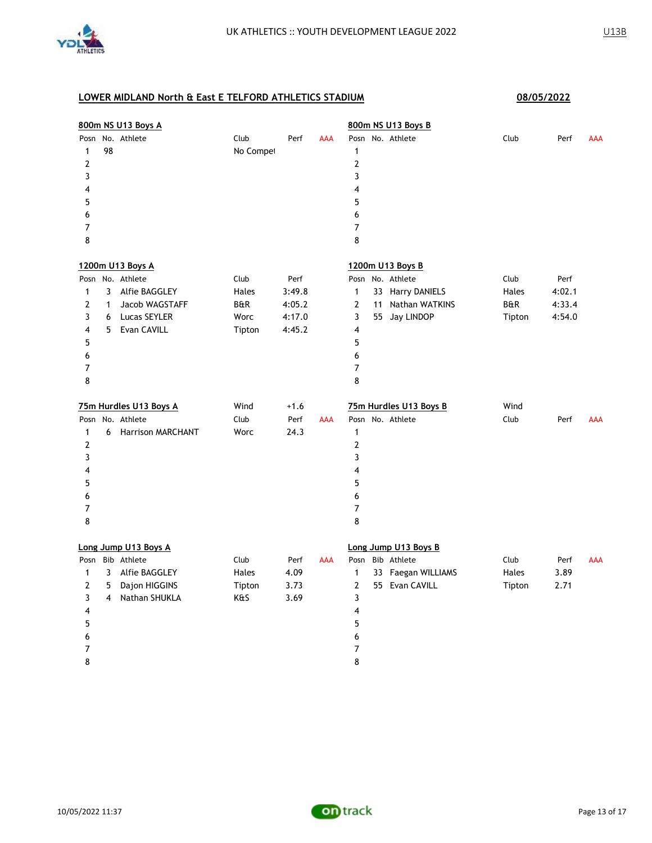

|                                                                      |                  | 800m NS U13 Boys A                                                                                     |                                                   |                                              |            | 800m NS U13 Boys B                                                                                                                                                                                                                                           |
|----------------------------------------------------------------------|------------------|--------------------------------------------------------------------------------------------------------|---------------------------------------------------|----------------------------------------------|------------|--------------------------------------------------------------------------------------------------------------------------------------------------------------------------------------------------------------------------------------------------------------|
| $\mathbf{1}$<br>$\mathbf{Z}$<br>3<br>4<br>5<br>6<br>7<br>8           | 98               | Posn No. Athlete                                                                                       | Club<br>No Compet                                 | Perf                                         | <b>AAA</b> | Posn No. Athlete<br>Club<br>Perf<br><b>AAA</b><br>1<br>$\overline{\mathbf{c}}$<br>3<br>4<br>5<br>6<br>$\overline{7}$<br>8                                                                                                                                    |
| $\mathbf{1}$<br>$\overline{2}$<br>3<br>4<br>5<br>6<br>7<br>8         | 3<br>1<br>6<br>5 | 1200m U13 Boys A<br>Posn No. Athlete<br>Alfie BAGGLEY<br>Jacob WAGSTAFF<br>Lucas SEYLER<br>Evan CAVILL | Club<br>Hales<br><b>B&amp;R</b><br>Worc<br>Tipton | Perf<br>3:49.8<br>4:05.2<br>4:17.0<br>4:45.2 |            | 1200m U13 Boys B<br>Posn No. Athlete<br>Club<br>Perf<br>$\mathbf{1}$<br>33 Harry DANIELS<br>4:02.1<br>Hales<br>$\mathbf{2}$<br>11 Nathan WATKINS<br><b>B&amp;R</b><br>4:33.4<br>3<br>55 Jay LINDOP<br>Tipton<br>4:54.0<br>4<br>5<br>6<br>$\overline{7}$<br>8 |
| $\mathbf{1}$<br>$\overline{2}$<br>3<br>4<br>5<br>6<br>7<br>8         | 6                | 75m Hurdles U13 Boys A<br>Posn No. Athlete<br><b>Harrison MARCHANT</b>                                 | Wind<br>Club<br>Worc                              | $+1.6$<br>Perf<br>24.3                       | AAA        | Wind<br>75m Hurdles U13 Boys B<br>Posn No. Athlete<br>Club<br>Perf<br><b>AAA</b><br>$\mathbf{1}$<br>$\overline{2}$<br>3<br>$\overline{4}$<br>5<br>6<br>$\overline{7}$<br>8                                                                                   |
| Posn<br>$\mathbf{1}$<br>$\overline{2}$<br>3<br>4<br>5<br>6<br>7<br>8 | 3<br>5<br>4      | Long Jump U13 Boys A<br>Bib Athlete<br>Alfie BAGGLEY<br>Dajon HIGGINS<br>Nathan SHUKLA                 | Club<br>Hales<br>Tipton<br>K&S                    | Perf<br>4.09<br>3.73<br>3.69                 | <b>AAA</b> | Long Jump U13 Boys B<br>Bib Athlete<br>Club<br>Posn<br>Perf<br><b>AAA</b><br>$\mathbf{1}$<br>33 Faegan WILLIAMS<br>Hales<br>3.89<br>$\overline{2}$<br>55 Evan CAVILL<br>Tipton<br>2.71<br>3<br>$\overline{4}$<br>5<br>6<br>7<br>8                            |

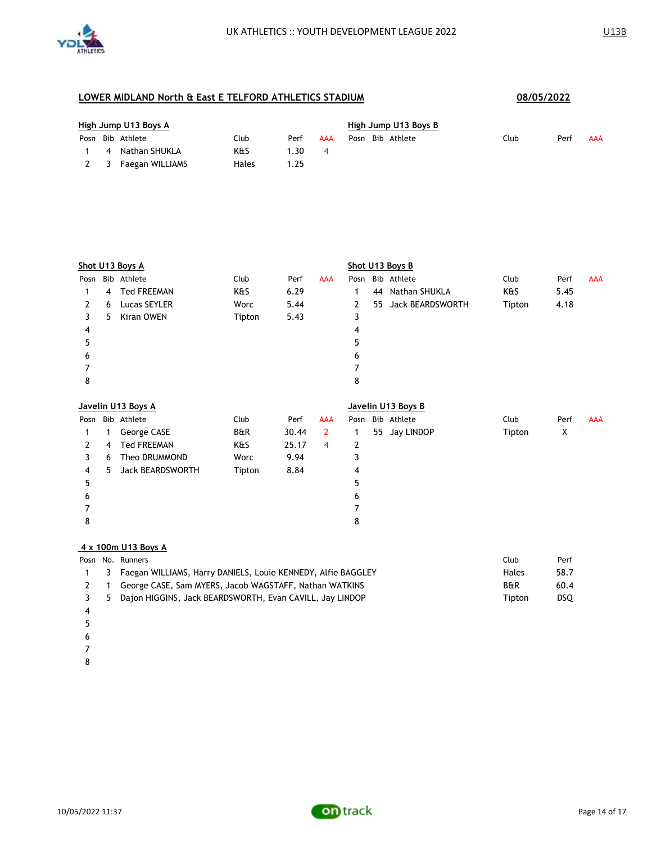

| High Jump U13 Boys A |  |                  |       |      |     |  | High Jump U13 Boys B |      |      |     |  |  |  |
|----------------------|--|------------------|-------|------|-----|--|----------------------|------|------|-----|--|--|--|
|                      |  | Posn Bib Athlete | Club  | Perf | AAA |  | Posn Bib Athlete     | Club | Perf | AAA |  |  |  |
|                      |  | 4 Nathan SHUKLA  | K&S   | .30  | 4   |  |                      |      |      |     |  |  |  |
| 2 3                  |  | Faegan WILLIAMS  | Hales | .25  |     |  |                      |      |      |     |  |  |  |

|      | Shot U13 Boys A |                         |        |       |                |      | Shot U13 Boys B |                    |        |      |            |  |  |
|------|-----------------|-------------------------|--------|-------|----------------|------|-----------------|--------------------|--------|------|------------|--|--|
| Posn |                 | Bib Athlete             | Club   | Perf  | <b>AAA</b>     | Posn |                 | Bib Athlete        | Club   | Perf | <b>AAA</b> |  |  |
| 1    | 4               | <b>Ted FREEMAN</b>      | K&S    | 6.29  |                | 1    | 44              | Nathan SHUKLA      | K&S    | 5.45 |            |  |  |
| 2    | 6               | Lucas SEYLER            | Worc   | 5.44  |                | 2    | 55              | Jack BEARDSWORTH   | Tipton | 4.18 |            |  |  |
| 3    | 5               | Kiran OWEN              | Tipton | 5.43  |                | 3    |                 |                    |        |      |            |  |  |
| 4    |                 |                         |        |       |                | 4    |                 |                    |        |      |            |  |  |
| 5    |                 |                         |        |       |                | 5    |                 |                    |        |      |            |  |  |
| 6    |                 |                         |        |       |                | 6    |                 |                    |        |      |            |  |  |
| 7    |                 |                         |        |       |                | 7    |                 |                    |        |      |            |  |  |
| 8    |                 |                         |        |       |                | 8    |                 |                    |        |      |            |  |  |
|      |                 | Javelin U13 Boys A      |        |       |                |      |                 | Javelin U13 Boys B |        |      |            |  |  |
|      |                 |                         |        |       |                |      |                 |                    |        |      |            |  |  |
| Posn |                 | Bib Athlete             | Club   | Perf  | <b>AAA</b>     | Posn |                 | Bib Athlete        | Club   | Perf | <b>AAA</b> |  |  |
| 1    | 1               | George CASE             | B&R    | 30.44 | $\overline{2}$ | 1    | 55              | Jay LINDOP         | Tipton | X    |            |  |  |
| 2    | 4               | <b>Ted FREEMAN</b>      | K&S    | 25.17 | $\overline{4}$ | 2    |                 |                    |        |      |            |  |  |
| 3    | 6               | Theo DRUMMOND           | Worc   | 9.94  |                | 3    |                 |                    |        |      |            |  |  |
| 4    | 5               | <b>Jack BEARDSWORTH</b> | Tipton | 8.84  |                | 4    |                 |                    |        |      |            |  |  |
| 5    |                 |                         |        |       |                | 5    |                 |                    |        |      |            |  |  |
| 6    |                 |                         |        |       |                | 6    |                 |                    |        |      |            |  |  |
| 7    |                 |                         |        |       |                | 7    |                 |                    |        |      |            |  |  |
| 8    |                 |                         |        |       |                | 8    |                 |                    |        |      |            |  |  |

#### **4 x 100m U13 Boys A**

|  | Club                                                                                                                                                                                                           | Perf |
|--|----------------------------------------------------------------------------------------------------------------------------------------------------------------------------------------------------------------|------|
|  | Hales                                                                                                                                                                                                          | 58.7 |
|  | <b>B&amp;R</b>                                                                                                                                                                                                 | 60.4 |
|  | Tipton                                                                                                                                                                                                         | DSO. |
|  | Posn No. Runners<br>1 3 Faegan WILLIAMS, Harry DANIELS, Louie KENNEDY, Alfie BAGGLEY<br>George CASE, Sam MYERS, Jacob WAGSTAFF, Nathan WATKINS<br>3 5 Dajon HIGGINS, Jack BEARDSWORTH, Evan CAVILL, Jay LINDOP |      |

- 
- 
- 
- 
- 

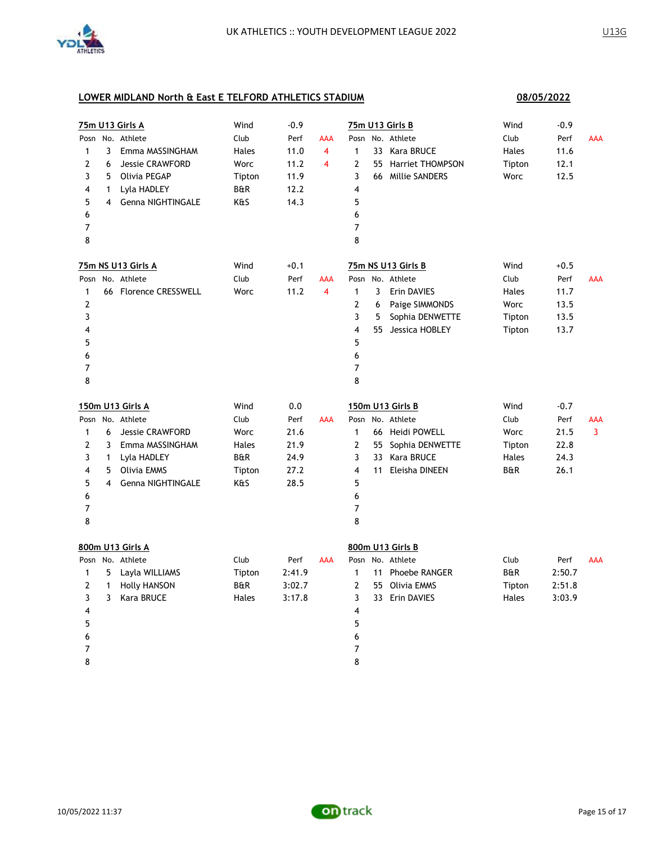

|                |                         | <b>75m U13 Girls A</b> | Wind           | $-0.9$ |                |                |   | 75m U13 Girls B     | Wind           | $-0.9$ |            |
|----------------|-------------------------|------------------------|----------------|--------|----------------|----------------|---|---------------------|----------------|--------|------------|
|                |                         | Posn No. Athlete       | Club           | Perf   | AAA            |                |   | Posn No. Athlete    | Club           | Perf   | AAA        |
| $\mathbf{1}$   | 3                       | Emma MASSINGHAM        | Hales          | 11.0   | $\overline{4}$ | $\mathbf{1}$   |   | 33 Kara BRUCE       | Hales          | 11.6   |            |
| $\overline{2}$ | 6                       | <b>Jessie CRAWFORD</b> | Worc           | 11.2   | 4              | 2              |   | 55 Harriet THOMPSON | Tipton         | 12.1   |            |
| 3              | 5                       | Olivia PEGAP           | Tipton         | 11.9   |                | 3              |   | 66 Millie SANDERS   | Worc           | 12.5   |            |
| 4              | $\mathbf{1}$            | Lyla HADLEY            | <b>B&amp;R</b> | 12.2   |                | 4              |   |                     |                |        |            |
| 5              | 4                       | Genna NIGHTINGALE      | K&S            | 14.3   |                | 5              |   |                     |                |        |            |
| 6              |                         |                        |                |        |                | 6              |   |                     |                |        |            |
| 7              |                         |                        |                |        |                | $\overline{7}$ |   |                     |                |        |            |
| 8              |                         |                        |                |        |                | 8              |   |                     |                |        |            |
|                |                         | 75m NS U13 Girls A     | Wind           | $+0.1$ |                |                |   | 75m NS U13 Girls B  | Wind           | $+0.5$ |            |
|                |                         | Posn No. Athlete       | Club           | Perf   | AAA            |                |   | Posn No. Athlete    | Club           | Perf   | <b>AAA</b> |
| 1              |                         | 66 Florence CRESSWELL  | Worc           | 11.2   | 4              | $\mathbf{1}$   | 3 | Erin DAVIES         | Hales          | 11.7   |            |
| $\overline{2}$ |                         |                        |                |        |                | 2              | 6 | Paige SIMMONDS      | Worc           | 13.5   |            |
| 3              |                         |                        |                |        |                | 3              | 5 | Sophia DENWETTE     | Tipton         | 13.5   |            |
| 4              |                         |                        |                |        |                | 4              |   | 55 Jessica HOBLEY   | Tipton         | 13.7   |            |
| 5              |                         |                        |                |        |                | 5              |   |                     |                |        |            |
| 6              |                         |                        |                |        |                | 6              |   |                     |                |        |            |
| $\overline{7}$ |                         |                        |                |        |                | 7              |   |                     |                |        |            |
| 8              |                         |                        |                |        |                | 8              |   |                     |                |        |            |
|                |                         | 150m U13 Girls A       | Wind           | 0.0    |                |                |   | 150m U13 Girls B    | Wind           | $-0.7$ |            |
|                |                         | Posn No. Athlete       | Club           | Perf   | <b>AAA</b>     | Posn           |   | No. Athlete         | Club           | Perf   | AAA        |
| $\mathbf{1}$   | 6                       | <b>Jessie CRAWFORD</b> | Worc           | 21.6   |                | $\mathbf{1}$   |   | 66 Heidi POWELL     | Worc           | 21.5   | 3          |
| $\overline{2}$ | 3                       | Emma MASSINGHAM        | Hales          | 21.9   |                | 2              |   | 55 Sophia DENWETTE  | Tipton         | 22.8   |            |
| 3              | 1                       | Lyla HADLEY            | <b>B&amp;R</b> | 24.9   |                | 3              |   | 33 Kara BRUCE       | Hales          | 24.3   |            |
| 4              | 5                       | <b>Olivia EMMS</b>     | Tipton         | 27.2   |                | 4              |   | 11 Eleisha DINEEN   | <b>B&amp;R</b> | 26.1   |            |
| 5              | $\overline{\mathbf{4}}$ | Genna NIGHTINGALE      | K&S            | 28.5   |                | 5              |   |                     |                |        |            |
| 6              |                         |                        |                |        |                | 6              |   |                     |                |        |            |
| 7              |                         |                        |                |        |                | $\overline{7}$ |   |                     |                |        |            |
| 8              |                         |                        |                |        |                | 8              |   |                     |                |        |            |
|                |                         | 800m U13 Girls A       |                |        |                |                |   | 800m U13 Girls B    |                |        |            |
|                |                         | Posn No. Athlete       | Club           | Perf   | AAA            |                |   | Posn No. Athlete    | Club           | Perf   | <b>AAA</b> |
| 1              | 5                       | Layla WILLIAMS         | Tipton         | 2:41.9 |                | $\mathbf{1}$   |   | 11 Phoebe RANGER    | <b>B&amp;R</b> | 2:50.7 |            |
| 2              | $\mathbf{1}$            | <b>Holly HANSON</b>    | B&R            | 3:02.7 |                | 2              |   | 55 Olivia EMMS      | Tipton         | 2:51.8 |            |
| 3              | 3                       | Kara BRUCE             | Hales          | 3:17.8 |                | 3              |   | 33 Erin DAVIES      | Hales          | 3:03.9 |            |
| 4              |                         |                        |                |        |                | 4              |   |                     |                |        |            |
| 5              |                         |                        |                |        |                | 5              |   |                     |                |        |            |
| 6              |                         |                        |                |        |                | 6              |   |                     |                |        |            |
| 7              |                         |                        |                |        |                | 7              |   |                     |                |        |            |
| 8              |                         |                        |                |        |                | 8              |   |                     |                |        |            |
|                |                         |                        |                |        |                |                |   |                     |                |        |            |

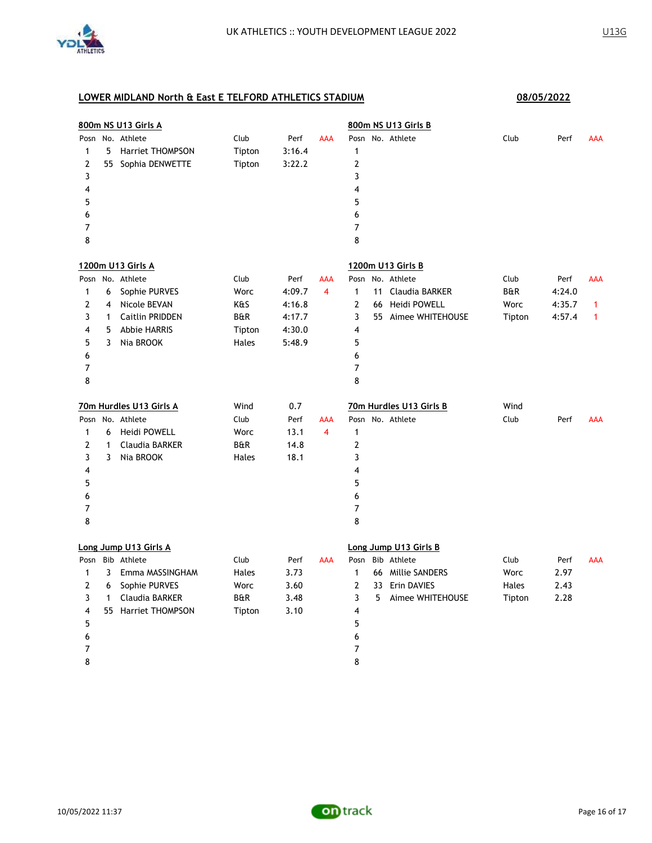

| 800m NS U13 Girls A   |              |                         |                |        |                         | 800m NS U13 Girls B |                       |                         |        |        |            |  |
|-----------------------|--------------|-------------------------|----------------|--------|-------------------------|---------------------|-----------------------|-------------------------|--------|--------|------------|--|
| Posn                  |              | No. Athlete             | Club           | Perf   | <b>AAA</b>              |                     |                       | Posn No. Athlete        | Club   | Perf   | AAA        |  |
| 1                     | 5            | Harriet THOMPSON        | Tipton         | 3:16.4 |                         | $\mathbf{1}$        |                       |                         |        |        |            |  |
| 2                     |              | 55 Sophia DENWETTE      | Tipton         | 3:22.2 |                         | 2                   |                       |                         |        |        |            |  |
| 3                     |              |                         |                |        |                         | 3                   |                       |                         |        |        |            |  |
| 4                     |              |                         |                |        |                         | 4                   |                       |                         |        |        |            |  |
| 5                     |              |                         |                |        |                         | 5                   |                       |                         |        |        |            |  |
| 6                     |              |                         |                |        |                         | 6                   |                       |                         |        |        |            |  |
| 7                     |              |                         |                |        |                         | $\overline{7}$      |                       |                         |        |        |            |  |
| 8                     |              |                         |                |        |                         | 8                   |                       |                         |        |        |            |  |
|                       |              | 1200m U13 Girls A       |                |        |                         |                     |                       | 1200m U13 Girls B       |        |        |            |  |
|                       |              | Posn No. Athlete        | Club           | Perf   | <b>AAA</b>              |                     |                       | Posn No. Athlete        | Club   | Perf   | <b>AAA</b> |  |
| $\mathbf{1}$          | 6            | Sophie PURVES           | Worc           | 4:09.7 | $\overline{4}$          | $\mathbf{1}$        | 11                    | Claudia BARKER          | B&R    | 4:24.0 |            |  |
| 2                     | 4            | Nicole BEVAN            | K&S            | 4:16.8 |                         | $\mathbf{2}$        | 66                    | Heidi POWELL            | Worc   | 4:35.7 | 1          |  |
| 3                     | $\mathbf{1}$ | <b>Caitlin PRIDDEN</b>  | <b>B&amp;R</b> | 4:17.7 |                         | 3                   |                       | 55 Aimee WHITEHOUSE     | Tipton | 4:57.4 | 1          |  |
| 4                     | 5            | <b>Abbie HARRIS</b>     | Tipton         | 4:30.0 |                         | 4                   |                       |                         |        |        |            |  |
| 5                     | 3            | Nia BROOK               | Hales          | 5:48.9 |                         | 5                   |                       |                         |        |        |            |  |
| 6                     |              |                         |                |        |                         | 6                   |                       |                         |        |        |            |  |
| 7                     |              |                         |                |        |                         | 7                   |                       |                         |        |        |            |  |
| 8                     |              |                         |                |        |                         | 8                   |                       |                         |        |        |            |  |
|                       |              | 70m Hurdles U13 Girls A | Wind           | 0.7    |                         |                     |                       | 70m Hurdles U13 Girls B | Wind   |        |            |  |
|                       |              | Posn No. Athlete        | Club           | Perf   | <b>AAA</b>              |                     |                       | Posn No. Athlete        | Club   | Perf   | <b>AAA</b> |  |
| 1                     | 6            | Heidi POWELL            | Worc           | 13.1   | $\overline{\mathbf{4}}$ | $\mathbf{1}$        |                       |                         |        |        |            |  |
| 2                     | 1            | Claudia BARKER          | <b>B&amp;R</b> | 14.8   |                         | 2                   |                       |                         |        |        |            |  |
| 3                     | 3            | Nia BROOK               | Hales          | 18.1   |                         | 3                   |                       |                         |        |        |            |  |
| 4                     |              |                         |                |        |                         | 4                   |                       |                         |        |        |            |  |
| 5                     |              |                         |                |        |                         | 5                   |                       |                         |        |        |            |  |
| 6                     |              |                         |                |        |                         | 6                   |                       |                         |        |        |            |  |
| 7                     |              |                         |                |        |                         | 7                   |                       |                         |        |        |            |  |
| 8                     |              |                         |                |        |                         | 8                   |                       |                         |        |        |            |  |
| Long Jump U13 Girls A |              |                         |                |        |                         |                     | Long Jump U13 Girls B |                         |        |        |            |  |
| Posn                  |              | Bib Athlete             | Club           | Perf   | AAA                     | Posn                |                       | Bib Athlete             | Club   | Perf   | <b>AAA</b> |  |
| 1                     | 3            | Emma MASSINGHAM         | Hales          | 3.73   |                         | 1                   |                       | 66 Millie SANDERS       | Worc   | 2.97   |            |  |
| $\overline{2}$        | 6            | Sophie PURVES           | Worc           | 3.60   |                         | 2                   | 33                    | Erin DAVIES             | Hales  | 2.43   |            |  |
| 3                     | $\mathbf{1}$ | Claudia BARKER          | <b>B&amp;R</b> | 3.48   |                         | 3                   | 5                     | Aimee WHITEHOUSE        | Tipton | 2.28   |            |  |
| 4                     |              | 55 Harriet THOMPSON     | Tipton         | 3.10   |                         | 4                   |                       |                         |        |        |            |  |
| 5                     |              |                         |                |        |                         | 5                   |                       |                         |        |        |            |  |
| 6                     |              |                         |                |        |                         | 6                   |                       |                         |        |        |            |  |
| 7                     |              |                         |                |        |                         | 7                   |                       |                         |        |        |            |  |
| 8                     |              |                         |                |        |                         | 8                   |                       |                         |        |        |            |  |